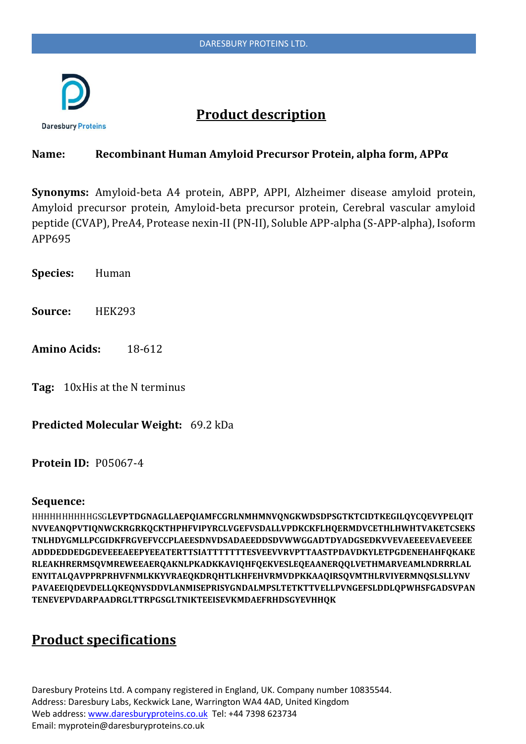

# **Product description**

#### **Name: Recombinant Human Amyloid Precursor Protein, alpha form, APPα**

**Synonyms:** Amyloid-beta A4 protein, ABPP, APPI, Alzheimer disease amyloid protein, Amyloid precursor protein, Amyloid-beta precursor protein, Cerebral vascular amyloid peptide (CVAP), PreA4, Protease nexin-II (PN-II), Soluble APP-alpha (S-APP-alpha), Isoform APP695

**Species:** Human

- **Source:** HEK293
- **Amino Acids:** 18-612

**Tag:** 10xHis at the N terminus

**Predicted Molecular Weight:** 69.2 kDa

**Protein ID:** P05067-4

#### **Sequence:**

HHHHHHHHHHGSG**LEVPTDGNAGLLAEPQIAMFCGRLNMHMNVQNGKWDSDPSGTKTCIDTKEGILQYCQEVYPELQIT NVVEANQPVTIQNWCKRGRKQCKTHPHFVIPYRCLVGEFVSDALLVPDKCKFLHQERMDVCETHLHWHTVAKETCSEKS TNLHDYGMLLPCGIDKFRGVEFVCCPLAEESDNVDSADAEEDDSDVWWGGADTDYADGSEDKVVEVAEEEEVAEVEEEE ADDDEDDEDGDEVEEEAEEPYEEATERTTSIATTTTTTTESVEEVVRVPTTAASTPDAVDKYLETPGDENEHAHFQKAKE RLEAKHRERMSQVMREWEEAERQAKNLPKADKKAVIQHFQEKVESLEQEAANERQQLVETHMARVEAMLNDRRRLAL ENYITALQAVPPRPRHVFNMLKKYVRAEQKDRQHTLKHFEHVRMVDPKKAAQIRSQVMTHLRVIYERMNQSLSLLYNV PAVAEEIQDEVDELLQKEQNYSDDVLANMISEPRISYGNDALMPSLTETKTTVELLPVNGEFSLDDLQPWHSFGADSVPAN TENEVEPVDARPAADRGLTTRPGSGLTNIKTEEISEVKMDAEFRHDSGYEVHHQK**

## **Product specifications**

Daresbury Proteins Ltd. A company registered in England, UK. Company number 10835544. Address: Daresbury Labs, Keckwick Lane, Warrington WA4 4AD, United Kingdom Web address[: www.daresburyproteins.co.uk](http://www.daresburyproteins.co.uk/) Tel: +44 7398 623734 Email: myprotein@daresburyproteins.co.uk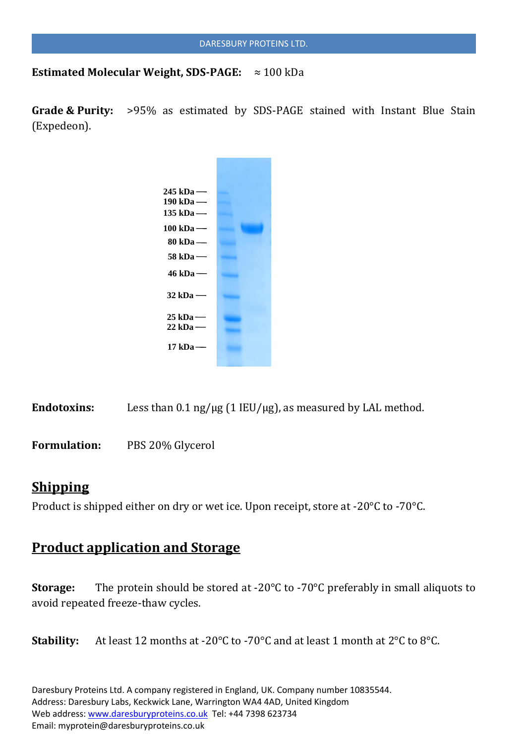**Estimated Molecular Weight, SDS-PAGE:** ≈ 100 kDa

**Grade & Purity:** >95% as estimated by SDS-PAGE stained with Instant Blue Stain (Expedeon).



Endotoxins: Less than 0.1 ng/µg (1 IEU/µg), as measured by LAL method.

**Formulation:** PBS 20% Glycerol

## **Shipping**

Product is shipped either on dry or wet ice. Upon receipt, store at -20°C to -70°C.

## **Product application and Storage**

**Storage:** The protein should be stored at -20°C to -70°C preferably in small aliquots to avoid repeated freeze-thaw cycles.

**Stability:** At least 12 months at -20°C to -70°C and at least 1 month at 2°C to 8°C.